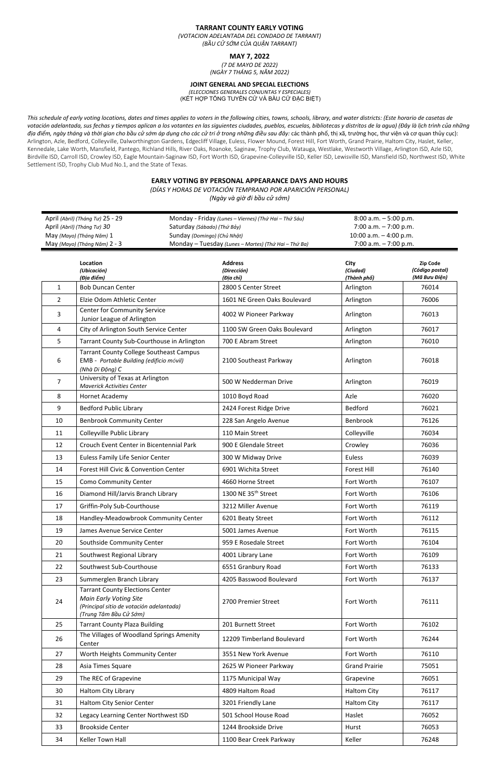#### **TARRANT COUNTY EARLY VOTING**

*(VOTACION ADELANTADA DEL CONDADO DE TARRANT) (BẦU CỬ SỚM CỦA QUẬN TARRANT)*

## **MAY 7, 2022**

*(7 DE MAYO DE 2022) (NGÀY 7 THÁNG 5, NĂM 2022)*

**JOINT GENERAL AND SPECIAL ELECTIONS**

*(ELECCIONES GENERALES CONJUNTAS Y ESPECIALES)*

(KẾT HỢP TỔNG TUYỂN CỬ VÀ BẦU CỬ ĐẶC BIỆT)

This schedule of early voting locations, dates and times applies to voters in the following cities, towns, schools, library, and water districts: (Este horario de casetas de votación adelantada, sus fechas y tiempos aplican a los votantes en las siguientes ciudades, pueblos, escuelas, bibliotecas y distritos de la agua) (Đây là lịch trình của những địa điểm, ngày tháng và thời gian cho bầu cử sớm áp dụng cho các cử tri ở trong những điều sau đây: các thành phố, thị xã, trường học, thư viện và cơ quan thủy cục): Arlington, Azle, Bedford, Colleyville, Dalworthington Gardens, Edgecliff Village, Euless, Flower Mound, Forest Hill, Fort Worth, Grand Prairie, Haltom City, Haslet, Keller, Kennedale, Lake Worth, Mansfield, Pantego, Richland Hills, River Oaks, Roanoke, Saginaw, Trophy Club, Watauga, Westlake, Westworth Village, Arlington ISD, Azle ISD, Birdville ISD, Carroll ISD, Crowley ISD, Eagle Mountain-Saginaw ISD, Fort Worth ISD, Grapevine-Colleyville ISD, Keller ISD, Lewisville ISD, Mansfield ISD, Northwest ISD, White Settlement ISD, Trophy Club Mud No.1, and the State of Texas.

#### **EARLY VOTING BY PERSONAL APPEARANCE DAYS AND HOURS**

*(DÍAS Y HORAS DE VOTACIÓN TEMPRANO POR APARICIÓN PERSONAL)*

*(Ngày và giờ đi bầu cử sớm)*

| April (Abril) (Tháng Tư) 25 - 29 | Monday - Friday (Lunes – Viernes) (Thứ Hai – Thứ Sáu) | $8:00$ a.m. $-5:00$ p.m. |
|----------------------------------|-------------------------------------------------------|--------------------------|
| April (Abril) (Tháng Tư) 30      | Saturday (Sábado) (Thứ Bảy)                           | 7:00 a.m. $-7:00$ p.m.   |
| May (Mayo) (Tháng Năm) 1         | Sunday <i>(Domingo) (Chủ Nhật)</i>                    | 10:00 a.m. $-$ 4:00 p.m. |
| May (Mayo) (Tháng Năm) 2 - 3     | Monday – Tuesday (Lunes – Martes) (Thứ Hai – Thứ Ba)  | 7:00 a.m. $-7:00$ p.m.   |

|                | Location<br>(Ubicación)<br>(Địa điểm)                                                                                                  | <b>Address</b><br>(Dirección)<br>(Địa chỉ) | City<br>(Ciudad)<br>(Thành phố) | Zip Code<br>(Código postal)<br>(Mã Bưu Điện) |
|----------------|----------------------------------------------------------------------------------------------------------------------------------------|--------------------------------------------|---------------------------------|----------------------------------------------|
| $\mathbf{1}$   | <b>Bob Duncan Center</b>                                                                                                               | 2800 S Center Street                       | Arlington                       | 76014                                        |
| $\overline{2}$ | Elzie Odom Athletic Center                                                                                                             | 1601 NE Green Oaks Boulevard               | Arlington                       | 76006                                        |
| 3              | <b>Center for Community Service</b><br>Junior League of Arlington                                                                      | 4002 W Pioneer Parkway                     | Arlington                       | 76013                                        |
| 4              | City of Arlington South Service Center                                                                                                 | 1100 SW Green Oaks Boulevard               | Arlington                       | 76017                                        |
| 5              | Tarrant County Sub-Courthouse in Arlington                                                                                             | 700 E Abram Street                         | Arlington                       | 76010                                        |
| 6              | <b>Tarrant County College Southeast Campus</b><br>EMB - Portable Building (edificio móvil)<br>(Nhà Di Động) C                          | 2100 Southeast Parkway                     | Arlington                       | 76018                                        |
| $\overline{7}$ | University of Texas at Arlington<br><b>Maverick Activities Center</b>                                                                  | 500 W Nedderman Drive                      | Arlington                       | 76019                                        |
| 8              | Hornet Academy                                                                                                                         | 1010 Boyd Road                             | Azle                            | 76020                                        |
| 9              | <b>Bedford Public Library</b>                                                                                                          | 2424 Forest Ridge Drive                    | Bedford                         | 76021                                        |
| 10             | <b>Benbrook Community Center</b>                                                                                                       | 228 San Angelo Avenue                      | Benbrook                        | 76126                                        |
| 11             | Colleyville Public Library                                                                                                             | 110 Main Street                            | Colleyville                     | 76034                                        |
| 12             | Crouch Event Center in Bicentennial Park                                                                                               | 900 E Glendale Street                      | Crowley                         | 76036                                        |
| 13             | Euless Family Life Senior Center                                                                                                       | 300 W Midway Drive                         | Euless                          | 76039                                        |
| 14             | Forest Hill Civic & Convention Center                                                                                                  | 6901 Wichita Street                        | <b>Forest Hill</b>              | 76140                                        |
| 15             | <b>Como Community Center</b>                                                                                                           | 4660 Horne Street                          | Fort Worth                      | 76107                                        |
| 16             | Diamond Hill/Jarvis Branch Library                                                                                                     | 1300 NE 35 <sup>th</sup> Street            | Fort Worth                      | 76106                                        |
| 17             | Griffin-Poly Sub-Courthouse                                                                                                            | 3212 Miller Avenue                         | Fort Worth                      | 76119                                        |
| 18             | Handley-Meadowbrook Community Center                                                                                                   | 6201 Beaty Street                          | Fort Worth                      | 76112                                        |
| 19             | James Avenue Service Center                                                                                                            | 5001 James Avenue                          | Fort Worth                      | 76115                                        |
| 20             | Southside Community Center                                                                                                             | 959 E Rosedale Street                      | Fort Worth                      | 76104                                        |
| 21             | Southwest Regional Library                                                                                                             | 4001 Library Lane                          | Fort Worth                      | 76109                                        |
| 22             | Southwest Sub-Courthouse                                                                                                               | 6551 Granbury Road                         | Fort Worth                      | 76133                                        |
| 23             | Summerglen Branch Library                                                                                                              | 4205 Basswood Boulevard                    | Fort Worth                      | 76137                                        |
| 24             | <b>Tarrant County Elections Center</b><br>Main Early Voting Site<br>(Principal sitio de votación adelantada)<br>(Trung Tâm Bầu Cử Sớm) | 2700 Premier Street                        | Fort Worth                      | 76111                                        |
| 25             | <b>Tarrant County Plaza Building</b>                                                                                                   | 201 Burnett Street                         | Fort Worth                      | 76102                                        |
| 26             | The Villages of Woodland Springs Amenity<br>Center                                                                                     | 12209 Timberland Boulevard                 | Fort Worth                      | 76244                                        |
| 27             | Worth Heights Community Center                                                                                                         | 3551 New York Avenue                       | Fort Worth                      | 76110                                        |
| 28             | Asia Times Square                                                                                                                      | 2625 W Pioneer Parkway                     | <b>Grand Prairie</b>            | 75051                                        |
| 29             | The REC of Grapevine                                                                                                                   | 1175 Municipal Way                         | Grapevine                       | 76051                                        |
| 30             | <b>Haltom City Library</b>                                                                                                             | 4809 Haltom Road                           | <b>Haltom City</b>              | 76117                                        |
| 31             | Haltom City Senior Center                                                                                                              | 3201 Friendly Lane                         | <b>Haltom City</b>              | 76117                                        |
| 32             | Legacy Learning Center Northwest ISD                                                                                                   | 501 School House Road                      | Haslet                          | 76052                                        |
| 33             | <b>Brookside Center</b>                                                                                                                | 1244 Brookside Drive                       | Hurst                           | 76053                                        |
| 34             | Keller Town Hall                                                                                                                       | 1100 Bear Creek Parkway                    | Keller                          | 76248                                        |